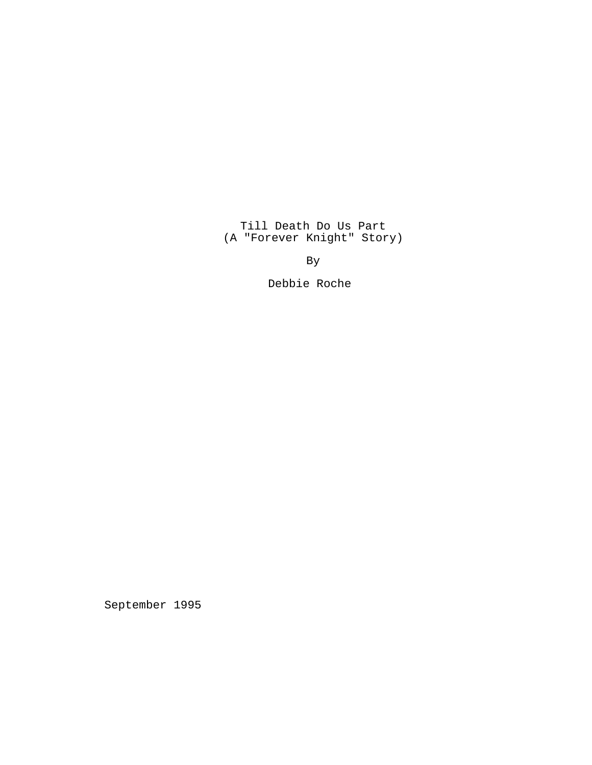Till Death Do Us Part (A "Forever Knight" Story)

By

Debbie Roche

September 1995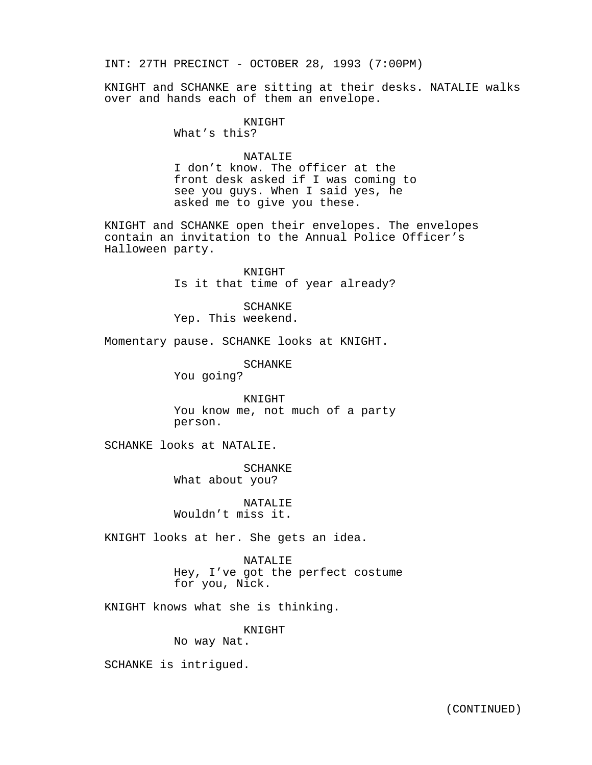INT: 27TH PRECINCT - OCTOBER 28, 1993 (7:00PM)

KNIGHT and SCHANKE are sitting at their desks. NATALIE walks over and hands each of them an envelope.

KNIGHT

What's this?

# NATALIF.

I don't know. The officer at the front desk asked if I was coming to see you guys. When I said yes, he asked me to give you these.

KNIGHT and SCHANKE open their envelopes. The envelopes contain an invitation to the Annual Police Officer's Halloween party.

> KNIGHT Is it that time of year already?

SCHANKE Yep. This weekend.

Momentary pause. SCHANKE looks at KNIGHT.

SCHANKE

You going?

KNIGHT You know me, not much of a party person.

SCHANKE looks at NATALIE.

SCHANKE What about you?

NATALIE Wouldn't miss it.

KNIGHT looks at her. She gets an idea.

NATALIE Hey, I've got the perfect costume for you, Nick.

KNIGHT knows what she is thinking.

KNIGHT

No way Nat.

SCHANKE is intrigued.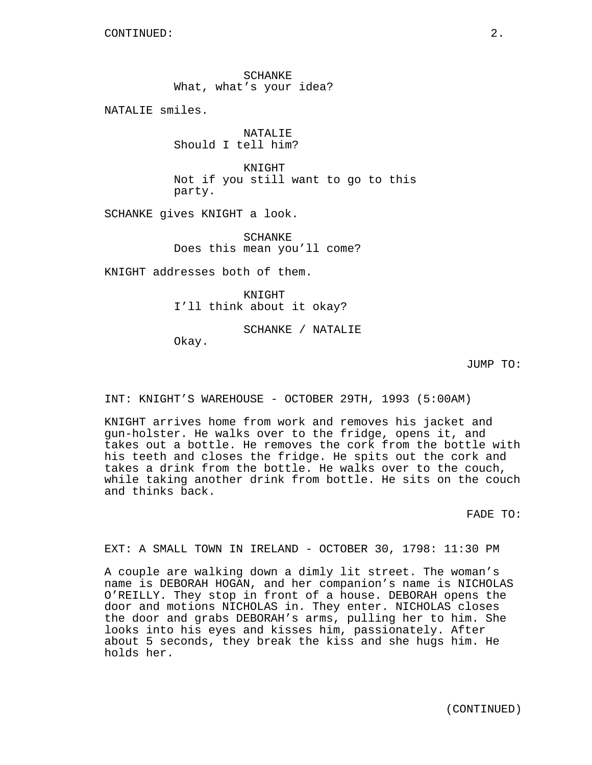SCHANKE What, what's your idea?

NATALIE smiles.

NATALIE Should I tell him?

KNIGHT Not if you still want to go to this party.

SCHANKE gives KNIGHT a look.

SCHANKE Does this mean you'll come?

KNIGHT addresses both of them.

KNIGHT I'll think about it okay?

SCHANKE / NATALIE

Okay.

JUMP TO:

INT: KNIGHT'S WAREHOUSE - OCTOBER 29TH, 1993 (5:00AM)

KNIGHT arrives home from work and removes his jacket and gun-holster. He walks over to the fridge, opens it, and takes out a bottle. He removes the cork from the bottle with his teeth and closes the fridge. He spits out the cork and takes a drink from the bottle. He walks over to the couch, while taking another drink from bottle. He sits on the couch and thinks back.

FADE TO:

EXT: A SMALL TOWN IN IRELAND - OCTOBER 30, 1798: 11:30 PM

A couple are walking down a dimly lit street. The woman's name is DEBORAH HOGAN, and her companion's name is NICHOLAS O'REILLY. They stop in front of a house. DEBORAH opens the door and motions NICHOLAS in. They enter. NICHOLAS closes the door and grabs DEBORAH's arms, pulling her to him. She looks into his eyes and kisses him, passionately. After about 5 seconds, they break the kiss and she hugs him. He holds her.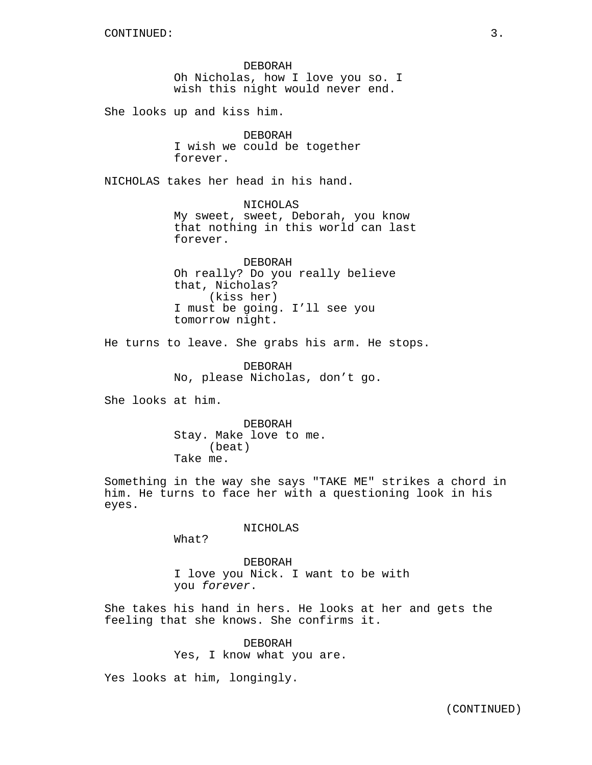DEBORAH Oh Nicholas, how I love you so. I wish this night would never end.

She looks up and kiss him.

DEBORAH I wish we could be together forever.

NICHOLAS takes her head in his hand.

NICHOLAS My sweet, sweet, Deborah, you know that nothing in this world can last forever.

DEBORAH Oh really? Do you really believe that, Nicholas? (kiss her) I must be going. I'll see you tomorrow night.

He turns to leave. She grabs his arm. He stops.

DEBORAH No, please Nicholas, don't go.

She looks at him.

DEBORAH Stay. Make love to me. (beat) Take me.

Something in the way she says "TAKE ME" strikes a chord in him. He turns to face her with a questioning look in his eyes.

NICHOLAS

What?

DEBORAH I love you Nick. I want to be with you forever.

She takes his hand in hers. He looks at her and gets the feeling that she knows. She confirms it.

> DEBORAH Yes, I know what you are.

Yes looks at him, longingly.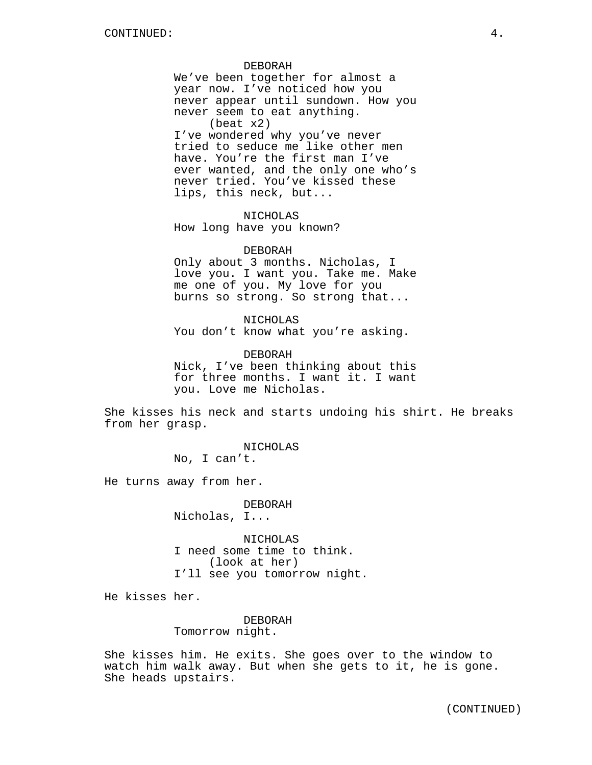#### DEBORAH

We've been together for almost a year now. I've noticed how you never appear until sundown. How you never seem to eat anything. (beat x2) I've wondered why you've never tried to seduce me like other men have. You're the first man I've ever wanted, and the only one who's never tried. You've kissed these lips, this neck, but...

NICHOLAS How long have you known?

#### DEBORAH

Only about 3 months. Nicholas, I love you. I want you. Take me. Make me one of you. My love for you burns so strong. So strong that...

NICHOLAS You don't know what you're asking.

DEBORAH Nick, I've been thinking about this for three months. I want it. I want you. Love me Nicholas.

She kisses his neck and starts undoing his shirt. He breaks from her grasp.

> NICHOLAS No, I can't.

He turns away from her.

DEBORAH Nicholas, I...

NICHOLAS I need some time to think. (look at her) I'll see you tomorrow night.

He kisses her.

DEBORAH Tomorrow night.

She kisses him. He exits. She goes over to the window to watch him walk away. But when she gets to it, he is gone. She heads upstairs.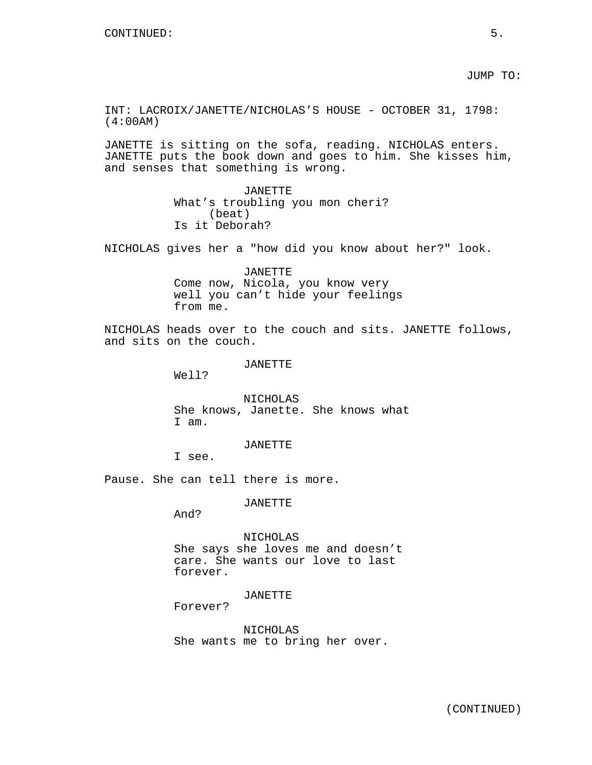JUMP TO:

INT: LACROIX/JANETTE/NICHOLAS'S HOUSE - OCTOBER 31, 1798: (4:00AM)

JANETTE is sitting on the sofa, reading. NICHOLAS enters. JANETTE puts the book down and goes to him. She kisses him, and senses that something is wrong.

> JANETTE What's troubling you mon cheri? (beat) Is it Deborah?

NICHOLAS gives her a "how did you know about her?" look.

JANETTE Come now, Nicola, you know very well you can't hide your feelings from me.

NICHOLAS heads over to the couch and sits. JANETTE follows, and sits on the couch.

JANETTE

Well?

NICHOLAS She knows, Janette. She knows what I am.

JANETTE

I see.

Pause. She can tell there is more.

JANETTE

And?

NICHOLAS She says she loves me and doesn't care. She wants our love to last forever.

## JANETTE

Forever?

NICHOLAS She wants me to bring her over.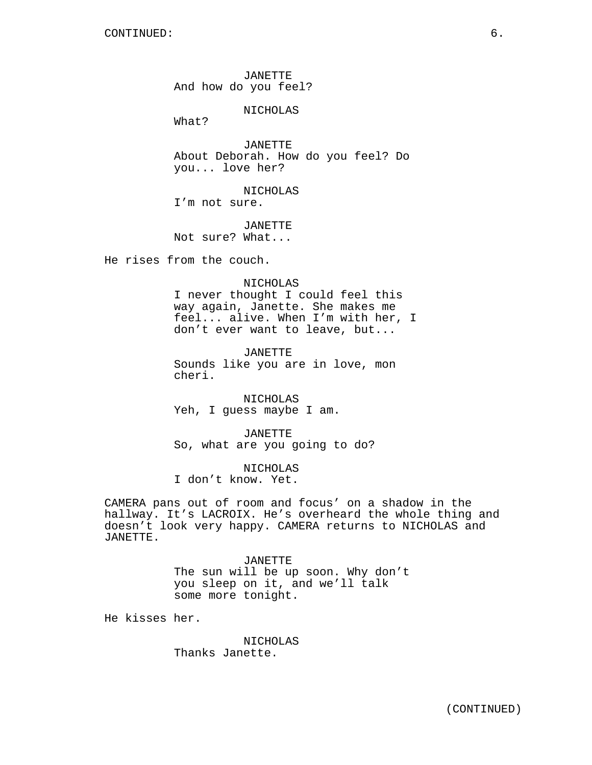JANETTE And how do you feel?

NICHOLAS

What?

JANETTE About Deborah. How do you feel? Do you... love her?

NICHOLAS I'm not sure.

JANETTE Not sure? What...

He rises from the couch.

NICHOLAS

I never thought I could feel this way again, Janette. She makes me feel... alive. When I'm with her, I don't ever want to leave, but...

JANETTE Sounds like you are in love, mon cheri.

NICHOLAS Yeh, I guess maybe I am.

JANETTE So, what are you going to do?

NICHOLAS I don't know. Yet.

CAMERA pans out of room and focus' on a shadow in the hallway. It's LACROIX. He's overheard the whole thing and doesn't look very happy. CAMERA returns to NICHOLAS and JANETTE.

> JANETTE The sun will be up soon. Why don't you sleep on it, and we'll talk some more tonight.

He kisses her.

NICHOLAS Thanks Janette.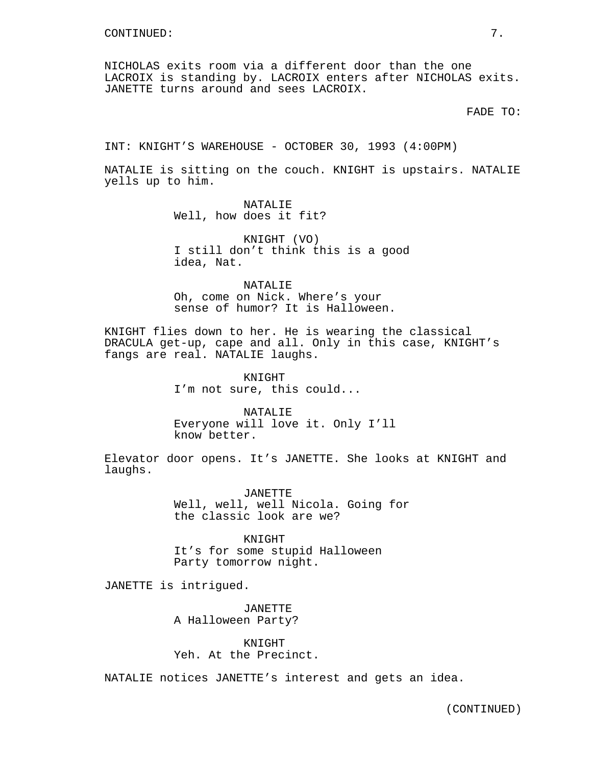NICHOLAS exits room via a different door than the one LACROIX is standing by. LACROIX enters after NICHOLAS exits. JANETTE turns around and sees LACROIX.

FADE TO:

INT: KNIGHT'S WAREHOUSE - OCTOBER 30, 1993 (4:00PM)

NATALIE is sitting on the couch. KNIGHT is upstairs. NATALIE yells up to him.

> NATALIE Well, how does it fit?

KNIGHT (VO) I still don't think this is a good idea, Nat.

NATALIE Oh, come on Nick. Where's your sense of humor? It is Halloween.

KNIGHT flies down to her. He is wearing the classical DRACULA get-up, cape and all. Only in this case, KNIGHT's fangs are real. NATALIE laughs.

> KNIGHT I'm not sure, this could...

NATALIE Everyone will love it. Only I'll know better.

Elevator door opens. It's JANETTE. She looks at KNIGHT and laughs.

> JANETTE Well, well, well Nicola. Going for the classic look are we?

KNIGHT It's for some stupid Halloween Party tomorrow night.

JANETTE is intrigued.

JANETTE A Halloween Party?

KNIGHT Yeh. At the Precinct.

NATALIE notices JANETTE's interest and gets an idea.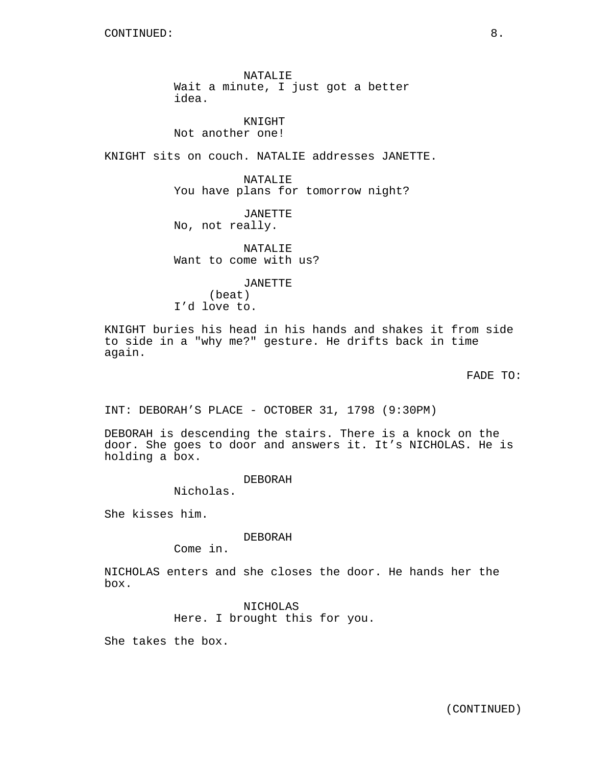NATALIE Wait a minute, I just got a better idea.

KNIGHT Not another one!

KNIGHT sits on couch. NATALIE addresses JANETTE.

NATALIE You have plans for tomorrow night?

JANETTE No, not really.

NATALIE Want to come with us?

JANETTE (beat) I'd love to.

KNIGHT buries his head in his hands and shakes it from side to side in a "why me?" gesture. He drifts back in time again.

FADE TO:

INT: DEBORAH'S PLACE - OCTOBER 31, 1798 (9:30PM)

DEBORAH is descending the stairs. There is a knock on the door. She goes to door and answers it. It's NICHOLAS. He is holding a box.

DEBORAH

Nicholas.

She kisses him.

DEBORAH

Come in.

NICHOLAS enters and she closes the door. He hands her the box.

> NICHOLAS Here. I brought this for you.

She takes the box.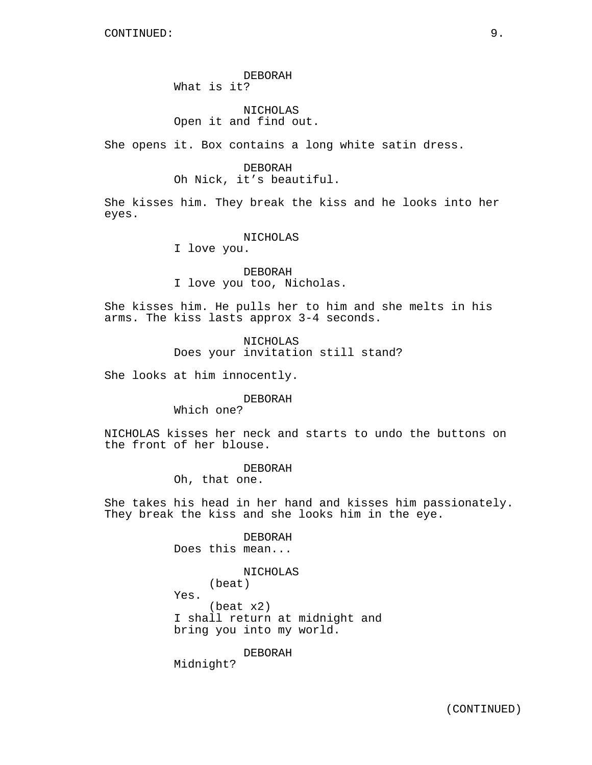# DEBORAH What is it?

# NICHOLAS Open it and find out.

She opens it. Box contains a long white satin dress.

## DEBORAH Oh Nick, it's beautiful.

She kisses him. They break the kiss and he looks into her eyes.

#### NICHOLAS

I love you.

DEBORAH I love you too, Nicholas.

She kisses him. He pulls her to him and she melts in his arms. The kiss lasts approx 3-4 seconds.

> NICHOLAS Does your invitation still stand?

She looks at him innocently.

DEBORAH

Which one?

NICHOLAS kisses her neck and starts to undo the buttons on the front of her blouse.

> DEBORAH Oh, that one.

She takes his head in her hand and kisses him passionately. They break the kiss and she looks him in the eye.

> DEBORAH Does this mean...

> > (beat)

NICHOLAS

Yes.

(beat x2) I shall return at midnight and bring you into my world.

DEBORAH

Midnight?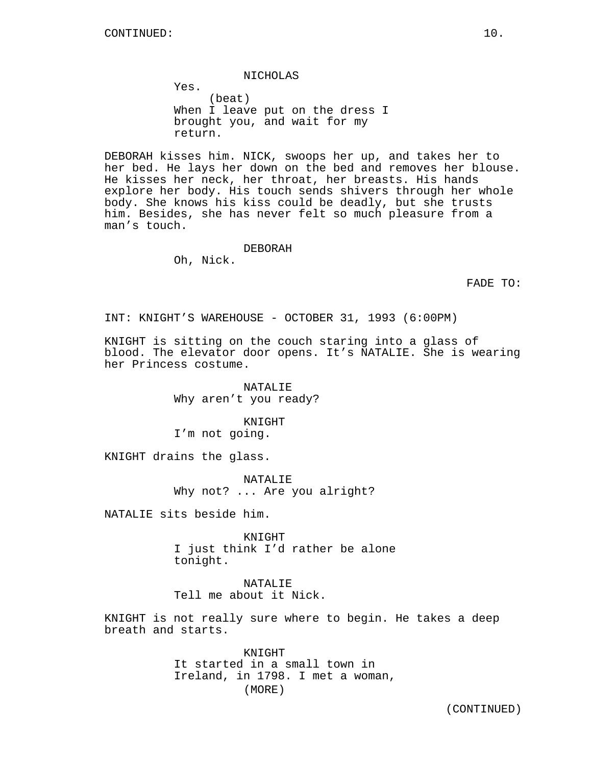NICHOLAS

Yes. (beat) When I leave put on the dress I brought you, and wait for my return.

DEBORAH kisses him. NICK, swoops her up, and takes her to her bed. He lays her down on the bed and removes her blouse. He kisses her neck, her throat, her breasts. His hands explore her body. His touch sends shivers through her whole body. She knows his kiss could be deadly, but she trusts him. Besides, she has never felt so much pleasure from a man's touch.

#### DEBORAH

Oh, Nick.

FADE TO:

INT: KNIGHT'S WAREHOUSE - OCTOBER 31, 1993 (6:00PM)

KNIGHT is sitting on the couch staring into a glass of blood. The elevator door opens. It's NATALIE. She is wearing her Princess costume.

> NATALIE Why aren't you ready?

KNIGHT I'm not going.

KNIGHT drains the glass.

NATALIE Why not? ... Are you alright?

NATALIE sits beside him.

KNIGHT I just think I'd rather be alone tonight.

NATALIE Tell me about it Nick.

KNIGHT is not really sure where to begin. He takes a deep breath and starts.

> KNIGHT It started in a small town in Ireland, in 1798. I met a woman, (MORE)

(CONTINUED)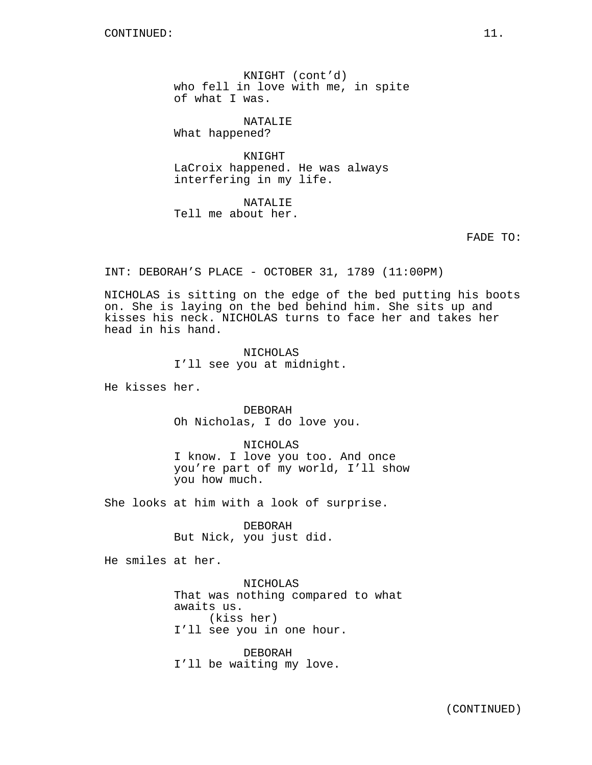KNIGHT (cont'd) who fell in love with me, in spite of what I was.

NATALIE

What happened?

KNIGHT LaCroix happened. He was always interfering in my life.

NATALIE Tell me about her.

FADE TO:

INT: DEBORAH'S PLACE - OCTOBER 31, 1789 (11:00PM)

NICHOLAS is sitting on the edge of the bed putting his boots on. She is laying on the bed behind him. She sits up and kisses his neck. NICHOLAS turns to face her and takes her head in his hand.

> NICHOLAS I'll see you at midnight.

He kisses her.

DEBORAH Oh Nicholas, I do love you.

NICHOLAS I know. I love you too. And once you're part of my world, I'll show you how much.

She looks at him with a look of surprise.

DEBORAH But Nick, you just did.

He smiles at her.

NICHOLAS That was nothing compared to what awaits us. (kiss her) I'll see you in one hour.

DEBORAH I'll be waiting my love.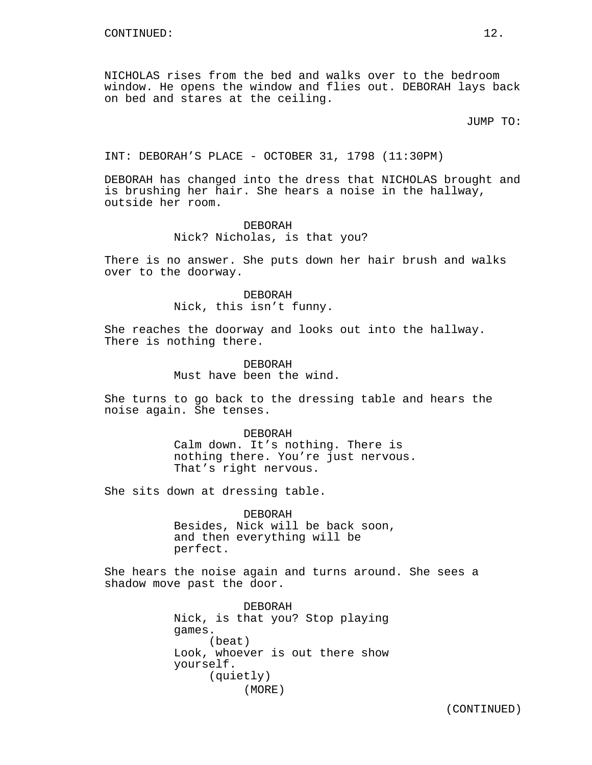NICHOLAS rises from the bed and walks over to the bedroom window. He opens the window and flies out. DEBORAH lays back on bed and stares at the ceiling.

JUMP TO:

INT: DEBORAH'S PLACE - OCTOBER 31, 1798 (11:30PM)

DEBORAH has changed into the dress that NICHOLAS brought and is brushing her hair. She hears a noise in the hallway, outside her room.

## DEBORAH Nick? Nicholas, is that you?

There is no answer. She puts down her hair brush and walks over to the doorway.

> DEBORAH Nick, this isn't funny.

She reaches the doorway and looks out into the hallway. There is nothing there.

> DEBORAH Must have been the wind.

She turns to go back to the dressing table and hears the noise again. She tenses.

> DEBORAH Calm down. It's nothing. There is nothing there. You're just nervous. That's right nervous.

She sits down at dressing table.

DEBORAH Besides, Nick will be back soon, and then everything will be perfect.

She hears the noise again and turns around. She sees a shadow move past the door.

> DEBORAH Nick, is that you? Stop playing games. (beat) Look, whoever is out there show yourself. (quietly) (MORE)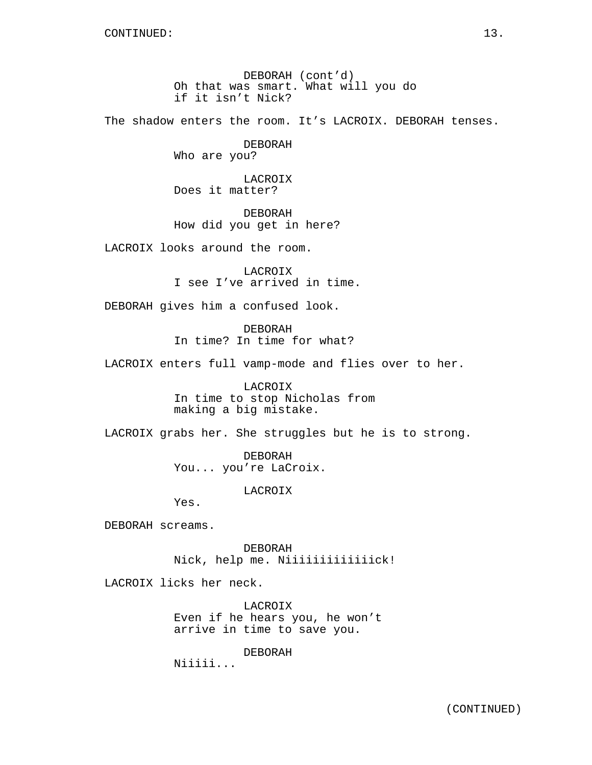DEBORAH (cont'd) Oh that was smart. What will you do if it isn't Nick?

The shadow enters the room. It's LACROIX. DEBORAH tenses.

# DEBORAH

Who are you?

LACROIX Does it matter?

DEBORAH How did you get in here?

LACROIX looks around the room.

LACROIX I see I've arrived in time.

DEBORAH gives him a confused look.

DEBORAH In time? In time for what?

LACROIX enters full vamp-mode and flies over to her.

LACROIX In time to stop Nicholas from making a big mistake.

LACROIX grabs her. She struggles but he is to strong.

DEBORAH You... you're LaCroix.

LACROIX

Yes.

DEBORAH screams.

DEBORAH Nick, help me. Niiiiiiiiiiiiick!

LACROIX licks her neck.

LACROIX Even if he hears you, he won't arrive in time to save you.

DEBORAH

Niiiii...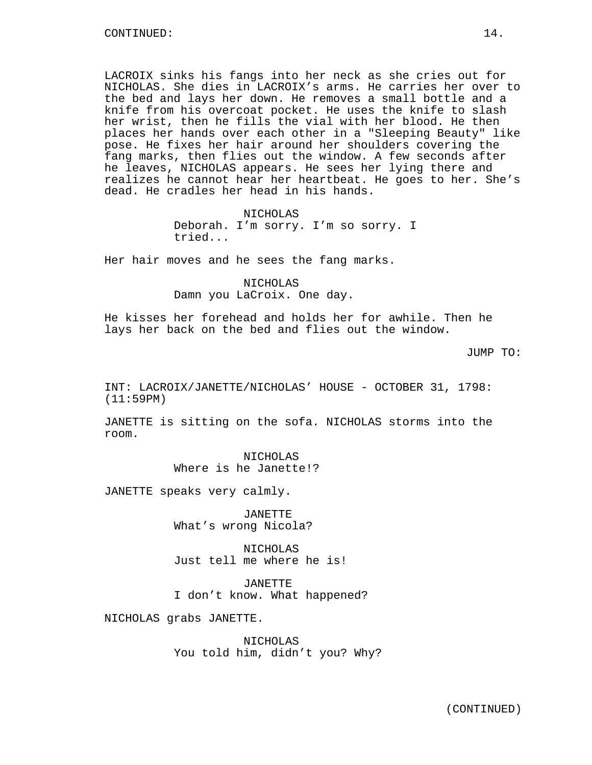LACROIX sinks his fangs into her neck as she cries out for NICHOLAS. She dies in LACROIX's arms. He carries her over to the bed and lays her down. He removes a small bottle and a knife from his overcoat pocket. He uses the knife to slash her wrist, then he fills the vial with her blood. He then places her hands over each other in a "Sleeping Beauty" like pose. He fixes her hair around her shoulders covering the fang marks, then flies out the window. A few seconds after he leaves, NICHOLAS appears. He sees her lying there and realizes he cannot hear her heartbeat. He goes to her. She's dead. He cradles her head in his hands.

> NICHOLAS Deborah. I'm sorry. I'm so sorry. I tried...

Her hair moves and he sees the fang marks.

NICHOLAS Damn you LaCroix. One day.

He kisses her forehead and holds her for awhile. Then he lays her back on the bed and flies out the window.

JUMP TO:

INT: LACROIX/JANETTE/NICHOLAS' HOUSE - OCTOBER 31, 1798: (11:59PM)

JANETTE is sitting on the sofa. NICHOLAS storms into the room.

> NICHOLAS Where is he Janette!?

JANETTE speaks very calmly.

JANETTE What's wrong Nicola?

NICHOLAS Just tell me where he is!

JANETTE I don't know. What happened?

NICHOLAS grabs JANETTE.

NICHOLAS You told him, didn't you? Why?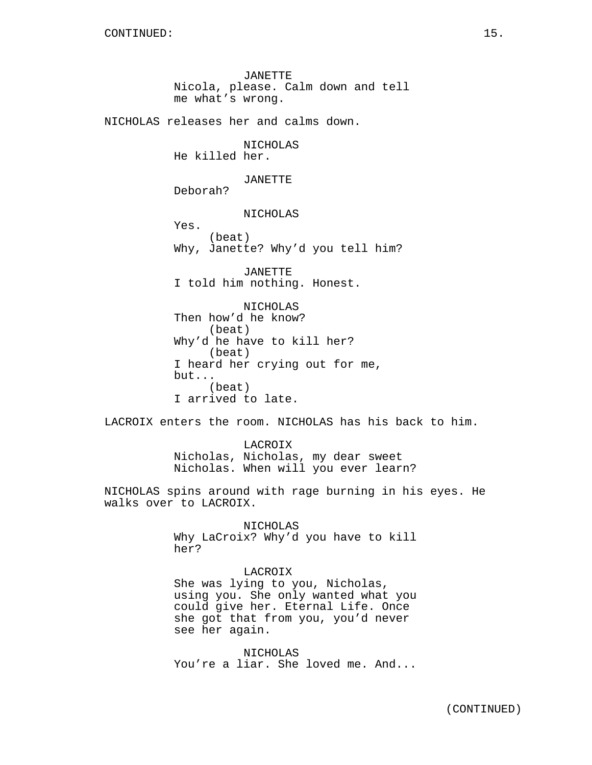JANETTE Nicola, please. Calm down and tell me what's wrong.

NICHOLAS releases her and calms down.

# NICHOLAS

He killed her.

# JANETTE

Deborah?

NICHOLAS

Yes. (beat) Why, Janette? Why'd you tell him?

JANETTE I told him nothing. Honest.

NICHOLAS Then how'd he know? (beat) Why'd he have to kill her? (beat) I heard her crying out for me, but... (beat) I arrived to late.

LACROIX enters the room. NICHOLAS has his back to him.

LACROIX Nicholas, Nicholas, my dear sweet Nicholas. When will you ever learn?

NICHOLAS spins around with rage burning in his eyes. He walks over to LACROIX.

> NICHOLAS Why LaCroix? Why'd you have to kill her?

# LACROIX She was lying to you, Nicholas, using you. She only wanted what you could give her. Eternal Life. Once she got that from you, you'd never see her again.

NICHOLAS You're a liar. She loved me. And...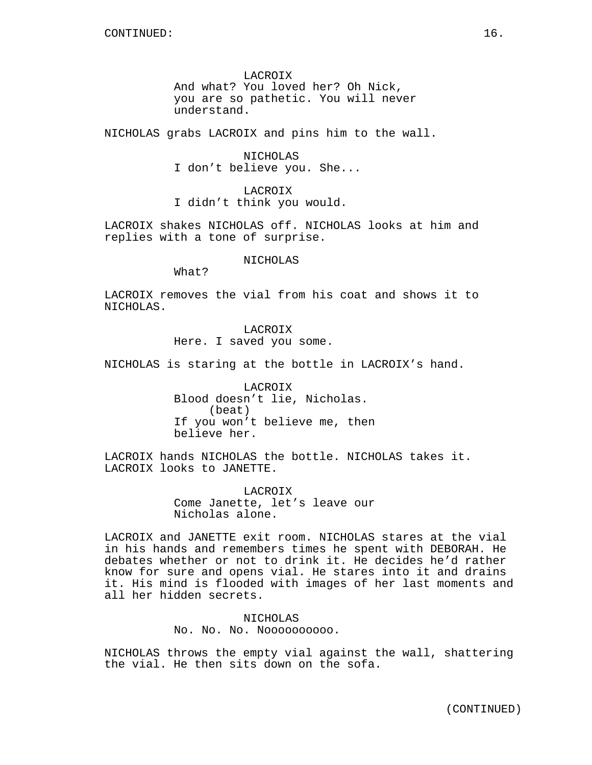LACROIX And what? You loved her? Oh Nick, you are so pathetic. You will never understand.

NICHOLAS grabs LACROIX and pins him to the wall.

NICHOLAS I don't believe you. She...

LACROIX I didn't think you would.

LACROIX shakes NICHOLAS off. NICHOLAS looks at him and replies with a tone of surprise.

### NICHOLAS

What?

LACROIX removes the vial from his coat and shows it to NICHOLAS.

> LACROIX Here. I saved you some.

NICHOLAS is staring at the bottle in LACROIX's hand.

LACROIX Blood doesn't lie, Nicholas. (beat) If you won't believe me, then believe her.

LACROIX hands NICHOLAS the bottle. NICHOLAS takes it. LACROIX looks to JANETTE.

> LACROIX Come Janette, let's leave our Nicholas alone.

LACROIX and JANETTE exit room. NICHOLAS stares at the vial in his hands and remembers times he spent with DEBORAH. He debates whether or not to drink it. He decides he'd rather know for sure and opens vial. He stares into it and drains it. His mind is flooded with images of her last moments and all her hidden secrets.

> NICHOLAS No. No. No. Noooooooooo.

NICHOLAS throws the empty vial against the wall, shattering the vial. He then sits down on the sofa.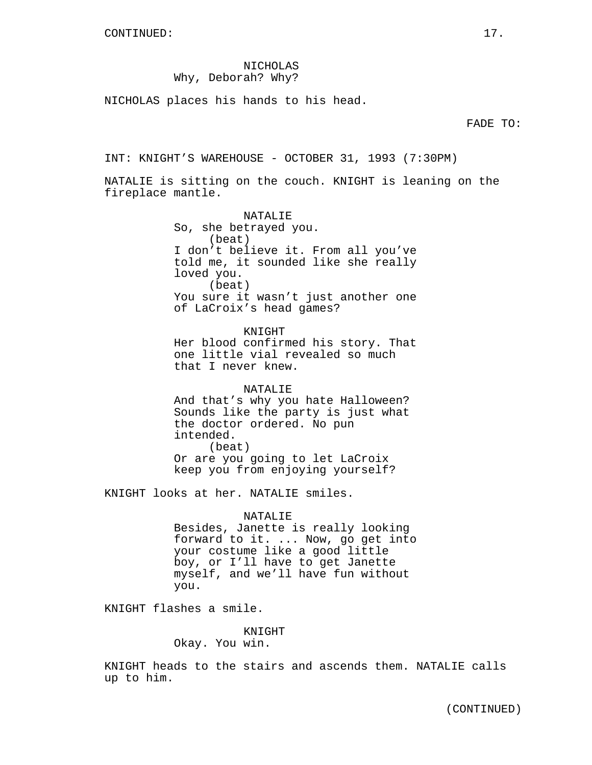## NICHOLAS Why, Deborah? Why?

NICHOLAS places his hands to his head.

FADE TO:

INT: KNIGHT'S WAREHOUSE - OCTOBER 31, 1993 (7:30PM)

NATALIE is sitting on the couch. KNIGHT is leaning on the fireplace mantle.

> NATALIE So, she betrayed you. (beat) I don't believe it. From all you've told me, it sounded like she really loved you. (beat) You sure it wasn't just another one of LaCroix's head games?

> KNIGHT Her blood confirmed his story. That one little vial revealed so much that I never knew.

NATALIE And that's why you hate Halloween? Sounds like the party is just what the doctor ordered. No pun intended. (beat) Or are you going to let LaCroix

keep you from enjoying yourself?

KNIGHT looks at her. NATALIE smiles.

NATALIE Besides, Janette is really looking forward to it. ... Now, go get into your costume like a good little boy, or I'll have to get Janette myself, and we'll have fun without you.

KNIGHT flashes a smile.

KNIGHT

Okay. You win.

KNIGHT heads to the stairs and ascends them. NATALIE calls up to him.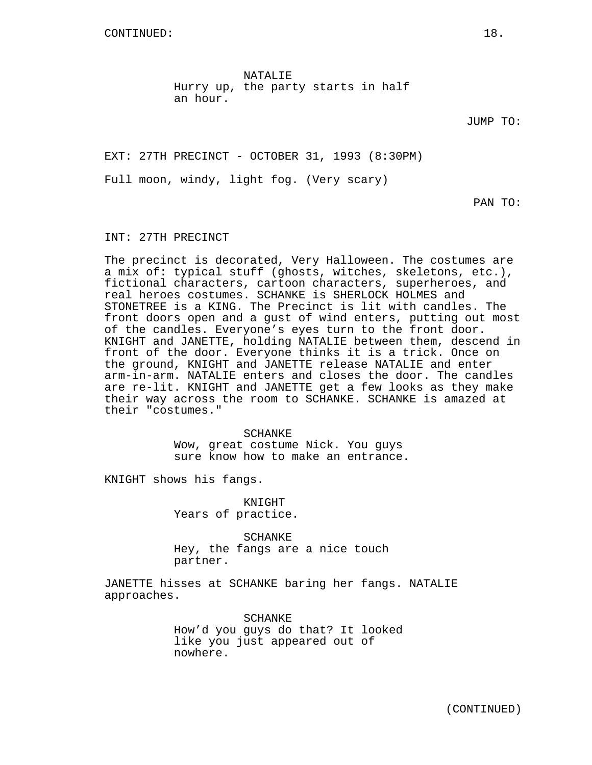CONTINUED: 18.

NATALIE Hurry up, the party starts in half an hour.

JUMP TO:

EXT: 27TH PRECINCT - OCTOBER 31, 1993 (8:30PM)

Full moon, windy, light fog. (Very scary)

PAN TO:

#### INT: 27TH PRECINCT

The precinct is decorated, Very Halloween. The costumes are a mix of: typical stuff (ghosts, witches, skeletons, etc.), fictional characters, cartoon characters, superheroes, and real heroes costumes. SCHANKE is SHERLOCK HOLMES and STONETREE is a KING. The Precinct is lit with candles. The front doors open and a gust of wind enters, putting out most of the candles. Everyone's eyes turn to the front door. KNIGHT and JANETTE, holding NATALIE between them, descend in front of the door. Everyone thinks it is a trick. Once on the ground, KNIGHT and JANETTE release NATALIE and enter arm-in-arm. NATALIE enters and closes the door. The candles are re-lit. KNIGHT and JANETTE get a few looks as they make their way across the room to SCHANKE. SCHANKE is amazed at their "costumes."

> SCHANKE Wow, great costume Nick. You guys sure know how to make an entrance.

KNIGHT shows his fangs.

KNIGHT Years of practice.

SCHANKE Hey, the fangs are a nice touch partner.

JANETTE hisses at SCHANKE baring her fangs. NATALIE approaches.

> SCHANKE How'd you guys do that? It looked like you just appeared out of nowhere.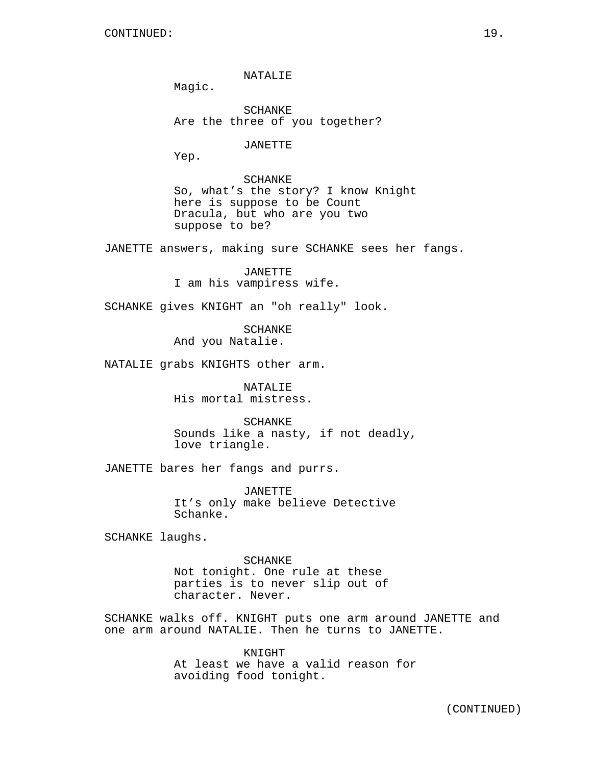NATALIE

Magic.

SCHANKE Are the three of you together?

JANETTE

Yep.

SCHANKE So, what's the story? I know Knight here is suppose to be Count Dracula, but who are you two suppose to be?

JANETTE answers, making sure SCHANKE sees her fangs.

JANETTE I am his vampiress wife.

SCHANKE gives KNIGHT an "oh really" look.

SCHANKE And you Natalie.

NATALIE grabs KNIGHTS other arm.

NATALIE His mortal mistress.

SCHANKE Sounds like a nasty, if not deadly, love triangle.

JANETTE bares her fangs and purrs.

JANETTE It's only make believe Detective Schanke.

SCHANKE laughs.

SCHANKE Not tonight. One rule at these parties is to never slip out of character. Never.

SCHANKE walks off. KNIGHT puts one arm around JANETTE and one arm around NATALIE. Then he turns to JANETTE.

> KNIGHT At least we have a valid reason for avoiding food tonight.